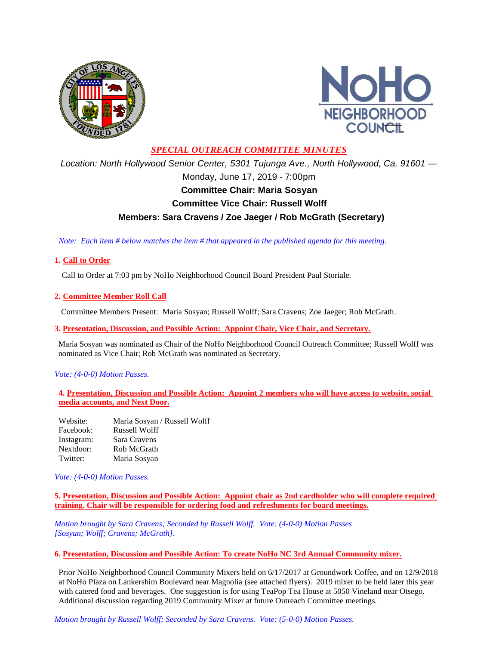



# *SPECIAL OUTREACH COMMITTEE MINUTES*

*Location: North Hollywood Senior Center, 5301 Tujunga Ave., North Hollywood, Ca. 91601 —* Monday, June 17, 2019 - 7:00pm **Committee Chair: Maria Sosyan Committee Vice Chair: Russell Wolff Members: Sara Cravens / Zoe Jaeger / Rob McGrath (Secretary)**

 *Note: Each item # below matches the item # that appeared in the published agenda for this meeting.*

# **1. Call to Order**

Call to Order at 7:03 pm by NoHo Neighborhood Council Board President Paul Storiale.

## **2. Committee Member Roll Call**

Committee Members Present: Maria Sosyan; Russell Wolff; Sara Cravens; Zoe Jaeger; Rob McGrath.

**3. Presentation, Discussion, and Possible Action: Appoint Chair, Vice Chair, and Secretary.**

Maria Sosyan was nominated as Chair of the NoHo Neighborhood Council Outreach Committee; Russell Wolff was nominated as Vice Chair; Rob McGrath was nominated as Secretary.

### *Vote: (4-0-0) Motion Passes.*

**4. Presentation, Discussion and Possible Action: Appoint 2 members who will have access to website, social media accounts, and Next Door.**

| Website:   | Maria Sosyan / Russell Wolff |
|------------|------------------------------|
| Facebook:  | Russell Wolff                |
| Instagram: | Sara Cravens                 |
| Nextdoor:  | Rob McGrath                  |
| Twitter:   | Maria Sosyan                 |

*Vote: (4-0-0) Motion Passes.*

**5. Presentation, Discussion and Possible Action: Appoint chair as 2nd cardholder who will complete required training. Chair will be responsible for ordering food and refreshments for board meetings.**

*Motion brought by Sara Cravens; Seconded by Russell Wolff. Vote: (4-0-0) Motion Passes [Sosyan; Wolff; Cravens; McGrath].*

### **6. Presentation, Discussion and Possible Action: To create NoHo NC 3rd Annual Community mixer.**

Prior NoHo Neighborhood Council Community Mixers held on 6/17/2017 at Groundwork Coffee, and on 12/9/2018 at NoHo Plaza on Lankershim Boulevard near Magnolia (see attached flyers). 2019 mixer to be held later this year with catered food and beverages. One suggestion is for using TeaPop Tea House at 5050 Vineland near Otsego. Additional discussion regarding 2019 Community Mixer at future Outreach Committee meetings.

*Motion brought by Russell Wolff; Seconded by Sara Cravens. Vote: (5-0-0) Motion Passes.*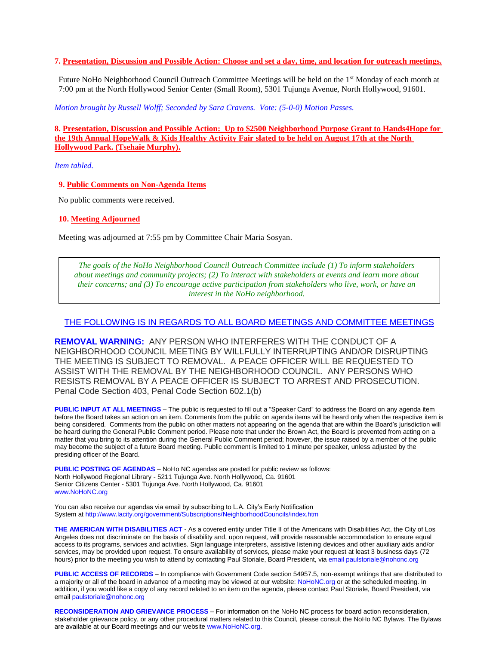#### **7. Presentation, Discussion and Possible Action: Choose and set a day, time, and location for outreach meetings.**

Future NoHo Neighborhood Council Outreach Committee Meetings will be held on the 1st Monday of each month at 7:00 pm at the North Hollywood Senior Center (Small Room), 5301 Tujunga Avenue, North Hollywood, 91601.

*Motion brought by Russell Wolff; Seconded by Sara Cravens. Vote: (5-0-0) Motion Passes.*

**8. Presentation, Discussion and Possible Action: Up to \$2500 Neighborhood Purpose Grant to Hands4Hope for the 19th Annual HopeWalk & Kids Healthy Activity Fair slated to be held on August 17th at the North Hollywood Park. (Tsehaie Murphy).**

*Item tabled.*

**9. Public Comments on Non-Agenda Items**

No public comments were received.

**10. Meeting Adjourned**

Meeting was adjourned at 7:55 pm by Committee Chair Maria Sosyan.

*The goals of the NoHo Neighborhood Council Outreach Committee include (1) To inform stakeholders about meetings and community projects; (2) To interact with stakeholders at events and learn more about their concerns; and (3) To encourage active participation from stakeholders who live, work, or have an interest in the NoHo neighborhood.*

#### THE FOLLOWING IS IN REGARDS TO ALL BOARD MEETINGS AND COMMITTEE MEETINGS

**REMOVAL WARNING:** ANY PERSON WHO INTERFERES WITH THE CONDUCT OF A NEIGHBORHOOD COUNCIL MEETING BY WILLFULLY INTERRUPTING AND/OR DISRUPTING THE MEETING IS SUBJECT TO REMOVAL. A PEACE OFFICER WILL BE REQUESTED TO ASSIST WITH THE REMOVAL BY THE NEIGHBORHOOD COUNCIL. ANY PERSONS WHO RESISTS REMOVAL BY A PEACE OFFICER IS SUBJECT TO ARREST AND PROSECUTION. Penal Code Section 403, Penal Code Section 602.1(b)

**PUBLIC INPUT AT ALL MEETINGS** – The public is requested to fill out a "Speaker Card" to address the Board on any agenda item before the Board takes an action on an item. Comments from the public on agenda items will be heard only when the respective item is being considered. Comments from the public on other matters not appearing on the agenda that are within the Board's jurisdiction will be heard during the General Public Comment period. Please note that under the Brown Act, the Board is prevented from acting on a matter that you bring to its attention during the General Public Comment period; however, the issue raised by a member of the public may become the subject of a future Board meeting. Public comment is limited to 1 minute per speaker, unless adjusted by the presiding officer of the Board.

**PUBLIC POSTING OF AGENDAS** – NoHo NC agendas are posted for public review as follows: North Hollywood Regional Library - 5211 Tujunga Ave. North Hollywood, Ca. 91601 Senior Citizens Center - 5301 Tujunga Ave. North Hollywood, Ca. 91601 www.NoHoNC.org

You can also receive our agendas via email by subscribing to L.A. City's Early Notification System at http://www.lacity.org/government/Subscriptions/NeighborhoodCouncils/index.htm

**THE AMERICAN WITH DISABILITIES ACT** - As a covered entity under Title II of the Americans with Disabilities Act, the City of Los Angeles does not discriminate on the basis of disability and, upon request, will provide reasonable accommodation to ensure equal access to its programs, services and activities. Sign language interpreters, assistive listening devices and other auxiliary aids and/or services, may be provided upon request. To ensure availability of services, please make your request at least 3 business days (72 hours) prior to the meeting you wish to attend by contacting Paul Storiale, Board President, via email paulstoriale@nohonc.org

**PUBLIC ACCESS OF RECORDS** – In compliance with Government Code section 54957.5, non-exempt writings that are distributed to a majority or all of the board in advance of a meeting may be viewed at our website: NoHoNC.org or at the scheduled meeting. In addition, if you would like a copy of any record related to an item on the agenda, please contact Paul Storiale, Board President, via email paulstoriale@nohonc.org

**RECONSIDERATION AND GRIEVANCE PROCESS** – For information on the NoHo NC process for board action reconsideration, stakeholder grievance policy, or any other procedural matters related to this Council, please consult the NoHo NC Bylaws. The Bylaws are available at our Board meetings and our website www.NoHoNC.org.